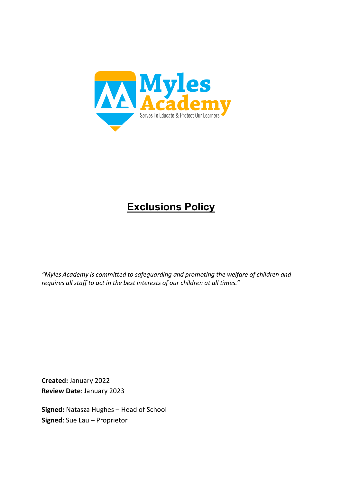

# **Exclusions Policy**

*"Myles Academy is committed to safeguarding and promoting the welfare of children and requires all staff to act in the best interests of our children at all times."*

**Created:** January 2022 **Review Date**: January 2023

**Signed:** Natasza Hughes – Head of School **Signed**: Sue Lau – Proprietor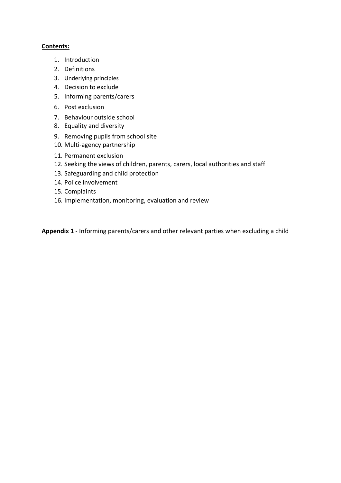#### **Contents:**

- 1. Introduction
- 2. Definitions
- 3. Underlying principles
- 4. Decision to exclude
- 5. Informing parents/carers
- 6. Post exclusion
- 7. Behaviour outside school
- 8. Equality and diversity
- 9. Removing pupils from school site
- 10. Multi-agency partnership
- 11. Permanent exclusion
- 12. Seeking the views of children, parents, carers, local authorities and staff
- 13. Safeguarding and child protection
- 14. Police involvement
- 15. Complaints
- 16. Implementation, monitoring, evaluation and review

**Appendix 1** - Informing parents/carers and other relevant parties when excluding a child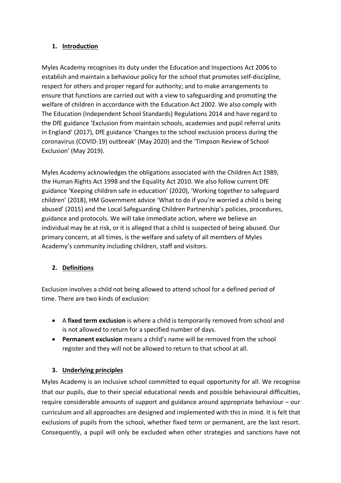## **1. Introduction**

Myles Academy recognises its duty under the Education and Inspections Act 2006 to establish and maintain a behaviour policy for the school that promotes self-discipline, respect for others and proper regard for authority; and to make arrangements to ensure that functions are carried out with a view to safeguarding and promoting the welfare of children in accordance with the Education Act 2002. We also comply with The Education (Independent School Standards) Regulations 2014 and have regard to the DfE guidance 'Exclusion from maintain schools, academies and pupil referral units in England' (2017), DfE guidance 'Changes to the school exclusion process during the coronavirus (COVID-19) outbreak' (May 2020) and the 'Timpson Review of School Exclusion' (May 2019).

Myles Academy acknowledges the obligations associated with the Children Act 1989, the Human Rights Act 1998 and the Equality Act 2010. We also follow current DfE guidance 'Keeping children safe in education' (2020), 'Working together to safeguard children' (2018), HM Government advice 'What to do if you're worried a child is being abused' (2015) and the Local Safeguarding Children Partnership's policies, procedures, guidance and protocols. We will take immediate action, where we believe an individual may be at risk, or it is alleged that a child is suspected of being abused. Our primary concern, at all times, is the welfare and safety of all members of Myles Academy's community including children, staff and visitors.

# **2. Definitions**

Exclusion involves a child not being allowed to attend school for a defined period of time. There are two kinds of exclusion:

- A **fixed term exclusion** is where a child is temporarily removed from school and is not allowed to return for a specified number of days.
- **Permanent exclusion** means a child's name will be removed from the school register and they will not be allowed to return to that school at all.

# **3. Underlying principles**

Myles Academy is an inclusive school committed to equal opportunity for all. We recognise that our pupils, due to their special educational needs and possible behavioural difficulties, require considerable amounts of support and guidance around appropriate behaviour – our curriculum and all approaches are designed and implemented with this in mind. It is felt that exclusions of pupils from the school, whether fixed term or permanent, are the last resort. Consequently, a pupil will only be excluded when other strategies and sanctions have not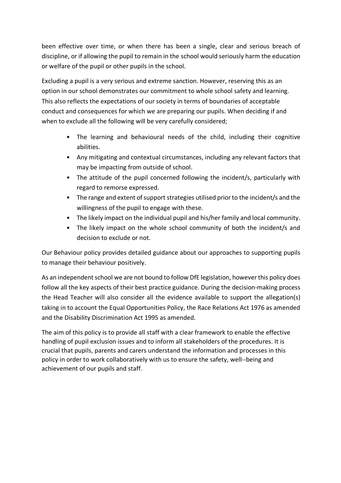been effective over time, or when there has been a single, clear and serious breach of discipline, or if allowing the pupil to remain in the school would seriously harm the education or welfare of the pupil or other pupils in the school.

Excluding a pupil is a very serious and extreme sanction. However, reserving this as an option in our school demonstrates our commitment to whole school safety and learning. This also reflects the expectations of our society in terms of boundaries of acceptable conduct and consequences for which we are preparing our pupils. When deciding if and when to exclude all the following will be very carefully considered;

- The learning and behavioural needs of the child, including their cognitive abilities.
- Any mitigating and contextual circumstances, including any relevant factors that may be impacting from outside of school.
- The attitude of the pupil concerned following the incident/s, particularly with regard to remorse expressed.
- The range and extent of support strategies utilised prior to the incident/s and the willingness of the pupil to engage with these.
- The likely impact on the individual pupil and his/her family and local community.
- The likely impact on the whole school community of both the incident/s and decision to exclude or not.

Our Behaviour policy provides detailed guidance about our approaches to supporting pupils to manage their behaviour positively.

As an independent school we are not bound to follow DfE legislation, however this policy does follow all the key aspects of their best practice guidance. During the decision-making process the Head Teacher will also consider all the evidence available to support the allegation(s) taking in to account the Equal Opportunities Policy, the Race Relations Act 1976 as amended and the Disability Discrimination Act 1995 as amended.

The aim of this policy is to provide all staff with a clear framework to enable the effective handling of pupil exclusion issues and to inform all stakeholders of the procedures. It is crucial that pupils, parents and carers understand the information and processes in this policy in order to work collaboratively with us to ensure the safety, well--being and achievement of our pupils and staff.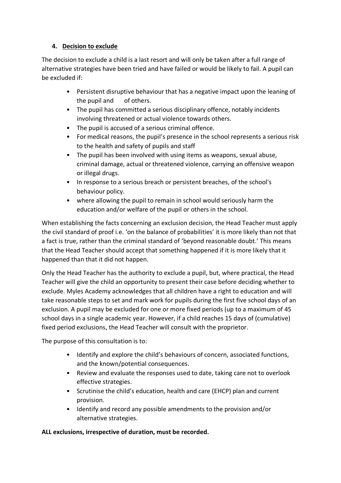## **4. Decision to exclude**

The decision to exclude a child is a last resort and will only be taken after a full range of alternative strategies have been tried and have failed or would be likely to fail. A pupil can be excluded if:

- Persistent disruptive behaviour that has a negative impact upon the leaning of the pupil and of others.
- The pupil has committed a serious disciplinary offence, notably incidents involving threatened or actual violence towards others.
- The pupil is accused of a serious criminal offence.
- For medical reasons, the pupil's presence in the school represents a serious risk to the health and safety of pupils and staff
- The pupil has been involved with using items as weapons, sexual abuse, criminal damage, actual or threatened violence, carrying an offensive weapon or illegal drugs.
- In response to a serious breach or persistent breaches, of the school's behaviour policy.
- where allowing the pupil to remain in school would seriously harm the education and/or welfare of the pupil or others in the school.

When establishing the facts concerning an exclusion decision, the Head Teacher must apply the civil standard of proof i.e. 'on the balance of probabilities' it is more likely than not that a fact is true, rather than the criminal standard of 'beyond reasonable doubt.' This means that the Head Teacher should accept that something happened if it is more likely that it happened than that it did not happen.

Only the Head Teacher has the authority to exclude a pupil, but, where practical, the Head Teacher will give the child an opportunity to present their case before deciding whether to exclude. Myles Academy acknowledges that all children have a right to education and will take reasonable steps to set and mark work for pupils during the first five school days of an exclusion. A pupil may be excluded for one or more fixed periods (up to a maximum of 45 school days in a single academic year. However, if a child reaches 15 days of (cumulative) fixed period exclusions, the Head Teacher will consult with the proprietor.

The purpose of this consultation is to:

- Identify and explore the child's behaviours of concern, associated functions, and the known/potential consequences.
- Review and evaluate the responses used to date, taking care not to overlook effective strategies.
- Scrutinise the child's education, health and care (EHCP) plan and current provision.
- Identify and record any possible amendments to the provision and/or alternative strategies.

# **ALL exclusions, irrespective of duration, must be recorded.**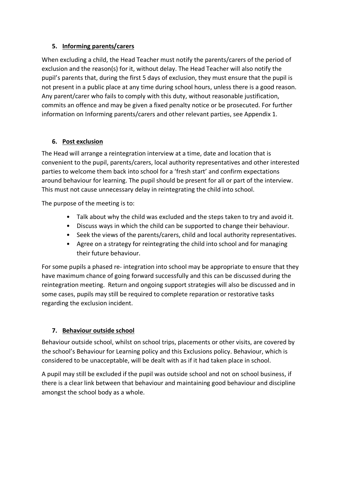# **5. Informing parents/carers**

When excluding a child, the Head Teacher must notify the parents/carers of the period of exclusion and the reason(s) for it, without delay. The Head Teacher will also notify the pupil's parents that, during the first 5 days of exclusion, they must ensure that the pupil is not present in a public place at any time during school hours, unless there is a good reason. Any parent/carer who fails to comply with this duty, without reasonable justification, commits an offence and may be given a fixed penalty notice or be prosecuted. For further information on Informing parents/carers and other relevant parties, see Appendix 1.

# **6. Post exclusion**

The Head will arrange a reintegration interview at a time, date and location that is convenient to the pupil, parents/carers, local authority representatives and other interested parties to welcome them back into school for a 'fresh start' and confirm expectations around behaviour for learning. The pupil should be present for all or part of the interview. This must not cause unnecessary delay in reintegrating the child into school.

The purpose of the meeting is to:

- Talk about why the child was excluded and the steps taken to try and avoid it.
- Discuss ways in which the child can be supported to change their behaviour.
- Seek the views of the parents/carers, child and local authority representatives.
- Agree on a strategy for reintegrating the child into school and for managing their future behaviour.

For some pupils a phased re- integration into school may be appropriate to ensure that they have maximum chance of going forward successfully and this can be discussed during the reintegration meeting. Return and ongoing support strategies will also be discussed and in some cases, pupils may still be required to complete reparation or restorative tasks regarding the exclusion incident.

# **7. Behaviour outside school**

Behaviour outside school, whilst on school trips, placements or other visits, are covered by the school's Behaviour for Learning policy and this Exclusions policy. Behaviour, which is considered to be unacceptable, will be dealt with as if it had taken place in school.

A pupil may still be excluded if the pupil was outside school and not on school business, if there is a clear link between that behaviour and maintaining good behaviour and discipline amongst the school body as a whole.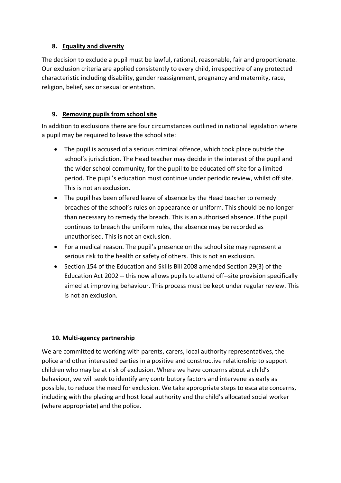## **8. Equality and diversity**

The decision to exclude a pupil must be lawful, rational, reasonable, fair and proportionate. Our exclusion criteria are applied consistently to every child, irrespective of any protected characteristic including disability, gender reassignment, pregnancy and maternity, race, religion, belief, sex or sexual orientation.

# **9. Removing pupils from school site**

In addition to exclusions there are four circumstances outlined in national legislation where a pupil may be required to leave the school site:

- The pupil is accused of a serious criminal offence, which took place outside the school's jurisdiction. The Head teacher may decide in the interest of the pupil and the wider school community, for the pupil to be educated off site for a limited period. The pupil's education must continue under periodic review, whilst off site. This is not an exclusion.
- The pupil has been offered leave of absence by the Head teacher to remedy breaches of the school's rules on appearance or uniform. This should be no longer than necessary to remedy the breach. This is an authorised absence. If the pupil continues to breach the uniform rules, the absence may be recorded as unauthorised. This is not an exclusion.
- For a medical reason. The pupil's presence on the school site may represent a serious risk to the health or safety of others. This is not an exclusion.
- Section 154 of the Education and Skills Bill 2008 amended Section 29(3) of the Education Act 2002 -- this now allows pupils to attend off--site provision specifically aimed at improving behaviour. This process must be kept under regular review. This is not an exclusion.

# **10. Multi-agency partnership**

We are committed to working with parents, carers, local authority representatives, the police and other interested parties in a positive and constructive relationship to support children who may be at risk of exclusion. Where we have concerns about a child's behaviour, we will seek to identify any contributory factors and intervene as early as possible, to reduce the need for exclusion. We take appropriate steps to escalate concerns, including with the placing and host local authority and the child's allocated social worker (where appropriate) and the police.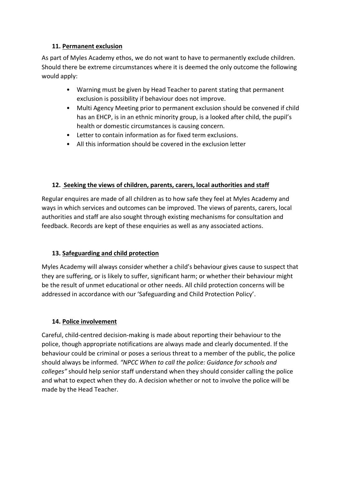## **11. Permanent exclusion**

As part of Myles Academy ethos, we do not want to have to permanently exclude children. Should there be extreme circumstances where it is deemed the only outcome the following would apply:

- Warning must be given by Head Teacher to parent stating that permanent exclusion is possibility if behaviour does not improve.
- Multi Agency Meeting prior to permanent exclusion should be convened if child has an EHCP, is in an ethnic minority group, is a looked after child, the pupil's health or domestic circumstances is causing concern.
- Letter to contain information as for fixed term exclusions.
- All this information should be covered in the exclusion letter

## **12. Seeking the views of children, parents, carers, local authorities and staff**

Regular enquires are made of all children as to how safe they feel at Myles Academy and ways in which services and outcomes can be improved. The views of parents, carers, local authorities and staff are also sought through existing mechanisms for consultation and feedback. Records are kept of these enquiries as well as any associated actions.

# **13. Safeguarding and child protection**

Myles Academy will always consider whether a child's behaviour gives cause to suspect that they are suffering, or is likely to suffer, significant harm; or whether their behaviour might be the result of unmet educational or other needs. All child protection concerns will be addressed in accordance with our 'Safeguarding and Child Protection Policy'.

# **14. Police involvement**

Careful, child-centred decision-making is made about reporting their behaviour to the police, though appropriate notifications are always made and clearly documented. If the behaviour could be criminal or poses a serious threat to a member of the public, the police should always be informed. *"NPCC When to call the police: Guidance for schools and colleges"* should help senior staff understand when they should consider calling the police and what to expect when they do. A decision whether or not to involve the police will be made by the Head Teacher.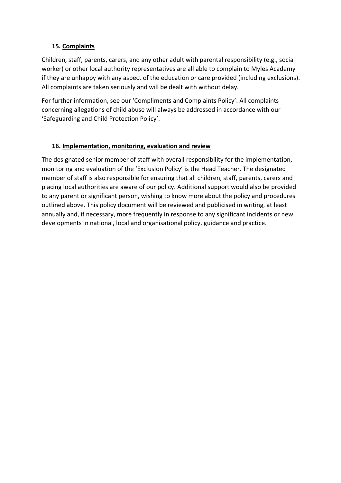## **15. Complaints**

Children, staff, parents, carers, and any other adult with parental responsibility (e.g., social worker) or other local authority representatives are all able to complain to Myles Academy if they are unhappy with any aspect of the education or care provided (including exclusions). All complaints are taken seriously and will be dealt with without delay.

For further information, see our 'Compliments and Complaints Policy'. All complaints concerning allegations of child abuse will always be addressed in accordance with our 'Safeguarding and Child Protection Policy'.

# **16. Implementation, monitoring, evaluation and review**

The designated senior member of staff with overall responsibility for the implementation, monitoring and evaluation of the 'Exclusion Policy' is the Head Teacher. The designated member of staff is also responsible for ensuring that all children, staff, parents, carers and placing local authorities are aware of our policy. Additional support would also be provided to any parent or significant person, wishing to know more about the policy and procedures outlined above. This policy document will be reviewed and publicised in writing, at least annually and, if necessary, more frequently in response to any significant incidents or new developments in national, local and organisational policy, guidance and practice.